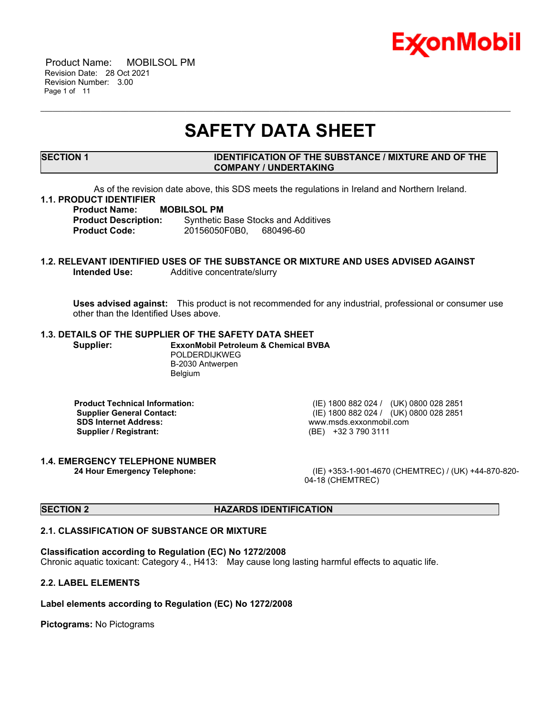

 Product Name: MOBILSOL PM Revision Date: 28 Oct 2021 Revision Number: 3.00 Page 1 of 11

# **SAFETY DATA SHEET**

\_\_\_\_\_\_\_\_\_\_\_\_\_\_\_\_\_\_\_\_\_\_\_\_\_\_\_\_\_\_\_\_\_\_\_\_\_\_\_\_\_\_\_\_\_\_\_\_\_\_\_\_\_\_\_\_\_\_\_\_\_\_\_\_\_\_\_\_\_\_\_\_\_\_\_\_\_\_\_\_\_\_\_\_\_\_\_\_\_\_\_\_\_\_\_\_\_\_\_\_\_\_\_\_\_\_\_\_\_\_\_\_\_\_\_\_\_

### **SECTION 1 IDENTIFICATION OF THE SUBSTANCE / MIXTURE AND OF THE COMPANY / UNDERTAKING**

As of the revision date above, this SDS meets the regulations in Ireland and Northern Ireland.

#### **1.1. PRODUCT IDENTIFIER**

**Product Name: MOBILSOL PM**

**Product Description:** Synthetic Base Stocks and Additives **Product Code:** 20156050F0B0, 680496-60

# **1.2. RELEVANT IDENTIFIED USES OF THE SUBSTANCE OR MIXTURE AND USES ADVISED AGAINST Intended Use:** Additive concentrate/slurry

**Uses advised against:** This product is not recommended for any industrial, professional or consumer use other than the Identified Uses above.

# **1.3. DETAILS OF THE SUPPLIER OF THE SAFETY DATA SHEET**

**Supplier: ExxonMobil Petroleum & Chemical BVBA** POLDERDIJKWEG B-2030 Antwerpen Belgium

**Supplier / Registrant:** 

**Product Technical Information:** (IE) 1800 882 024 / (UK) 0800 028 2851 **Supplier General Contact:** (IE) 1800 882 024 / (UK) 0800 028 2851<br> **SDS Internet Address:** (IE) 1800 882 024 / (UK) 0800 028 2851 www.msds.exxonmobil.com<br>(BE) +32 3 790 3111

# **1.4. EMERGENCY TELEPHONE NUMBER**

**24 Hour Emergency Telephone:** (IE) +353-1-901-4670 (CHEMTREC) / (UK) +44-870-820- 04-18 (CHEMTREC)

#### **SECTION 2 HAZARDS IDENTIFICATION**

#### **2.1. CLASSIFICATION OF SUBSTANCE OR MIXTURE**

#### **Classification according to Regulation (EC) No 1272/2008**

Chronic aquatic toxicant: Category 4., H413: May cause long lasting harmful effects to aquatic life.

# **2.2. LABEL ELEMENTS**

# **Label elements according to Regulation (EC) No 1272/2008**

**Pictograms:** No Pictograms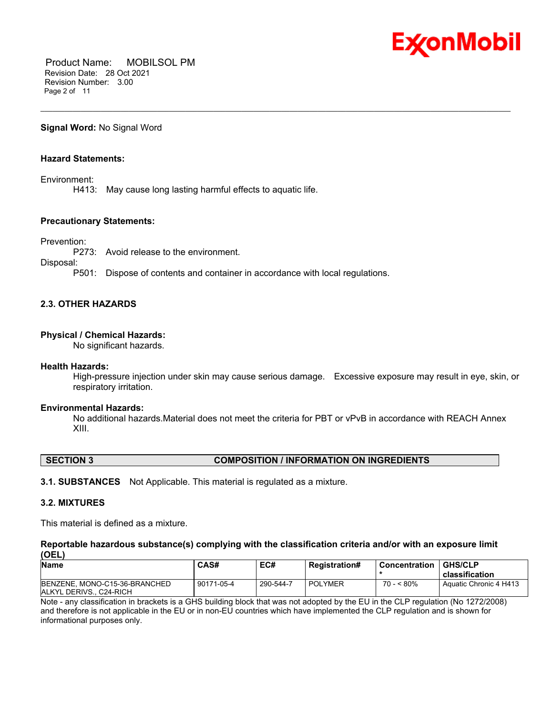

 Product Name: MOBILSOL PM Revision Date: 28 Oct 2021 Revision Number: 3.00 Page 2 of 11

**Signal Word:** No Signal Word

# **Hazard Statements:**

Environment:

H413: May cause long lasting harmful effects to aquatic life.

#### **Precautionary Statements:**

Prevention:

P273: Avoid release to the environment.

Disposal:

P501: Dispose of contents and container in accordance with local regulations.

# **2.3. OTHER HAZARDS**

#### **Physical / Chemical Hazards:**

No significant hazards.

#### **Health Hazards:**

High-pressure injection under skin may cause serious damage. Excessive exposure may result in eye, skin, or respiratory irritation.

\_\_\_\_\_\_\_\_\_\_\_\_\_\_\_\_\_\_\_\_\_\_\_\_\_\_\_\_\_\_\_\_\_\_\_\_\_\_\_\_\_\_\_\_\_\_\_\_\_\_\_\_\_\_\_\_\_\_\_\_\_\_\_\_\_\_\_\_\_\_\_\_\_\_\_\_\_\_\_\_\_\_\_\_\_\_\_\_\_\_\_\_\_\_\_\_\_\_\_\_\_\_\_\_\_\_\_\_\_\_\_\_\_\_\_\_\_

#### **Environmental Hazards:**

No additional hazards.Material does not meet the criteria for PBT or vPvB in accordance with REACH Annex XIII.

### **SECTION 3 COMPOSITION / INFORMATION ON INGREDIENTS**

**3.1. SUBSTANCES** Not Applicable. This material is regulated as a mixture.

# **3.2. MIXTURES**

This material is defined as a mixture.

#### **Reportable hazardous substance(s) complying with the classification criteria and/or with an exposure limit (OEL)**

| <b>Name</b>                                             | CAS#       | EC#       | <b>Registration#</b> | <b>Concentration</b> | <b>GHS/CLP</b><br>classification |
|---------------------------------------------------------|------------|-----------|----------------------|----------------------|----------------------------------|
| BENZENE, MONO-C15-36-BRANCHED<br>IALKYL DERIVS C24-RICH | 90171-05-4 | 290-544-7 | <b>POLYMER</b>       | $70 - 580\%$         | Aquatic Chronic 4 H413           |

Note - any classification in brackets is a GHS building block that was not adopted by the EU in the CLP regulation (No 1272/2008) and therefore is not applicable in the EU or in non-EU countries which have implemented the CLP regulation and is shown for informational purposes only.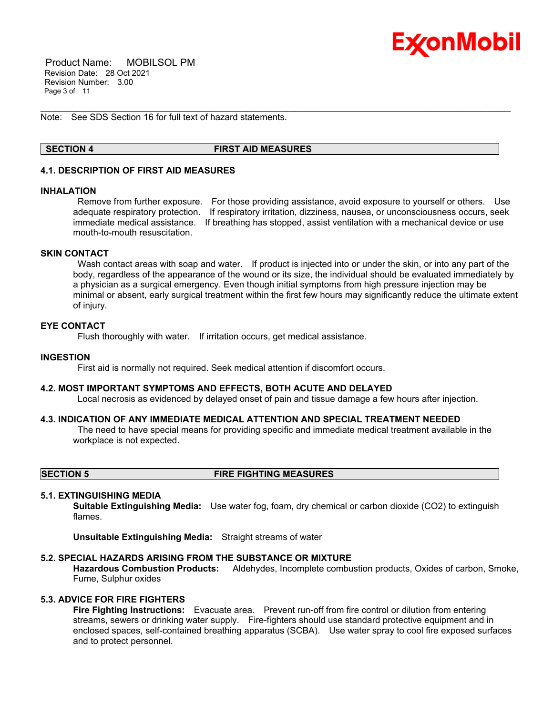

 Product Name: MOBILSOL PM Revision Date: 28 Oct 2021 Revision Number: 3.00 Page 3 of 11

Note: See SDS Section 16 for full text of hazard statements.

### **SECTION 4 FIRST AID MEASURES**

\_\_\_\_\_\_\_\_\_\_\_\_\_\_\_\_\_\_\_\_\_\_\_\_\_\_\_\_\_\_\_\_\_\_\_\_\_\_\_\_\_\_\_\_\_\_\_\_\_\_\_\_\_\_\_\_\_\_\_\_\_\_\_\_\_\_\_\_\_\_\_\_\_\_\_\_\_\_\_\_\_\_\_\_\_\_\_\_\_\_\_\_\_\_\_\_\_\_\_\_\_\_\_\_\_\_\_\_\_\_\_\_\_\_\_\_\_

# **4.1. DESCRIPTION OF FIRST AID MEASURES**

#### **INHALATION**

Remove from further exposure. For those providing assistance, avoid exposure to yourself or others. Use adequate respiratory protection. If respiratory irritation, dizziness, nausea, or unconsciousness occurs, seek immediate medical assistance. If breathing has stopped, assist ventilation with a mechanical device or use mouth-to-mouth resuscitation.

### **SKIN CONTACT**

Wash contact areas with soap and water. If product is injected into or under the skin, or into any part of the body, regardless of the appearance of the wound or its size, the individual should be evaluated immediately by a physician as a surgical emergency. Even though initial symptoms from high pressure injection may be minimal or absent, early surgical treatment within the first few hours may significantly reduce the ultimate extent of injury.

### **EYE CONTACT**

Flush thoroughly with water. If irritation occurs, get medical assistance.

#### **INGESTION**

First aid is normally not required. Seek medical attention if discomfort occurs.

#### **4.2. MOST IMPORTANT SYMPTOMS AND EFFECTS, BOTH ACUTE AND DELAYED**

Local necrosis as evidenced by delayed onset of pain and tissue damage a few hours after injection.

#### **4.3. INDICATION OF ANY IMMEDIATE MEDICAL ATTENTION AND SPECIAL TREATMENT NEEDED**

The need to have special means for providing specific and immediate medical treatment available in the workplace is not expected.

**SECTION 5 FIRE FIGHTING MEASURES**

#### **5.1. EXTINGUISHING MEDIA**

**Suitable Extinguishing Media:** Use water fog, foam, dry chemical or carbon dioxide (CO2) to extinguish flames.

**Unsuitable Extinguishing Media:** Straight streams of water

#### **5.2. SPECIAL HAZARDS ARISING FROM THE SUBSTANCE OR MIXTURE**

**Hazardous Combustion Products:** Aldehydes, Incomplete combustion products, Oxides of carbon, Smoke, Fume, Sulphur oxides

#### **5.3. ADVICE FOR FIRE FIGHTERS**

**Fire Fighting Instructions:** Evacuate area. Prevent run-off from fire control or dilution from entering streams, sewers or drinking water supply. Fire-fighters should use standard protective equipment and in enclosed spaces, self-contained breathing apparatus (SCBA). Use water spray to cool fire exposed surfaces and to protect personnel.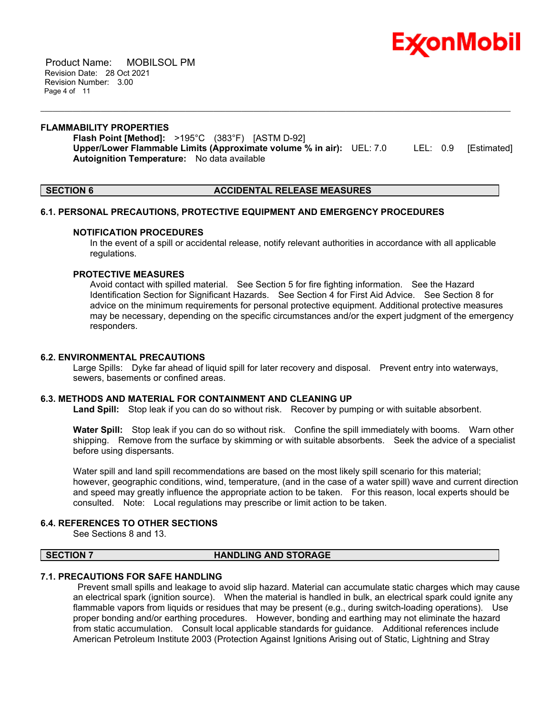

 Product Name: MOBILSOL PM Revision Date: 28 Oct 2021 Revision Number: 3.00 Page 4 of 11

#### **FLAMMABILITY PROPERTIES**

**Flash Point [Method]:** >195°C (383°F) [ASTM D-92] **Upper/Lower Flammable Limits (Approximate volume % in air):** UEL: 7.0 LEL: 0.9 [Estimated] **Autoignition Temperature:** No data available

\_\_\_\_\_\_\_\_\_\_\_\_\_\_\_\_\_\_\_\_\_\_\_\_\_\_\_\_\_\_\_\_\_\_\_\_\_\_\_\_\_\_\_\_\_\_\_\_\_\_\_\_\_\_\_\_\_\_\_\_\_\_\_\_\_\_\_\_\_\_\_\_\_\_\_\_\_\_\_\_\_\_\_\_\_\_\_\_\_\_\_\_\_\_\_\_\_\_\_\_\_\_\_\_\_\_\_\_\_\_\_\_\_\_\_\_\_

# **SECTION 6 ACCIDENTAL RELEASE MEASURES**

#### **6.1. PERSONAL PRECAUTIONS, PROTECTIVE EQUIPMENT AND EMERGENCY PROCEDURES**

#### **NOTIFICATION PROCEDURES**

In the event of a spill or accidental release, notify relevant authorities in accordance with all applicable regulations.

### **PROTECTIVE MEASURES**

Avoid contact with spilled material. See Section 5 for fire fighting information. See the Hazard Identification Section for Significant Hazards. See Section 4 for First Aid Advice. See Section 8 for advice on the minimum requirements for personal protective equipment. Additional protective measures may be necessary, depending on the specific circumstances and/or the expert judgment of the emergency responders.

### **6.2. ENVIRONMENTAL PRECAUTIONS**

Large Spills: Dyke far ahead of liquid spill for later recovery and disposal. Prevent entry into waterways, sewers, basements or confined areas.

#### **6.3. METHODS AND MATERIAL FOR CONTAINMENT AND CLEANING UP**

**Land Spill:** Stop leak if you can do so without risk. Recover by pumping or with suitable absorbent.

**Water Spill:** Stop leak if you can do so without risk. Confine the spill immediately with booms. Warn other shipping. Remove from the surface by skimming or with suitable absorbents. Seek the advice of a specialist before using dispersants.

Water spill and land spill recommendations are based on the most likely spill scenario for this material; however, geographic conditions, wind, temperature, (and in the case of a water spill) wave and current direction and speed may greatly influence the appropriate action to be taken. For this reason, local experts should be consulted. Note: Local regulations may prescribe or limit action to be taken.

# **6.4. REFERENCES TO OTHER SECTIONS**

See Sections 8 and 13.

#### **SECTION 7 HANDLING AND STORAGE**

# **7.1. PRECAUTIONS FOR SAFE HANDLING**

Prevent small spills and leakage to avoid slip hazard. Material can accumulate static charges which may cause an electrical spark (ignition source). When the material is handled in bulk, an electrical spark could ignite any flammable vapors from liquids or residues that may be present (e.g., during switch-loading operations). Use proper bonding and/or earthing procedures. However, bonding and earthing may not eliminate the hazard from static accumulation. Consult local applicable standards for guidance. Additional references include American Petroleum Institute 2003 (Protection Against Ignitions Arising out of Static, Lightning and Stray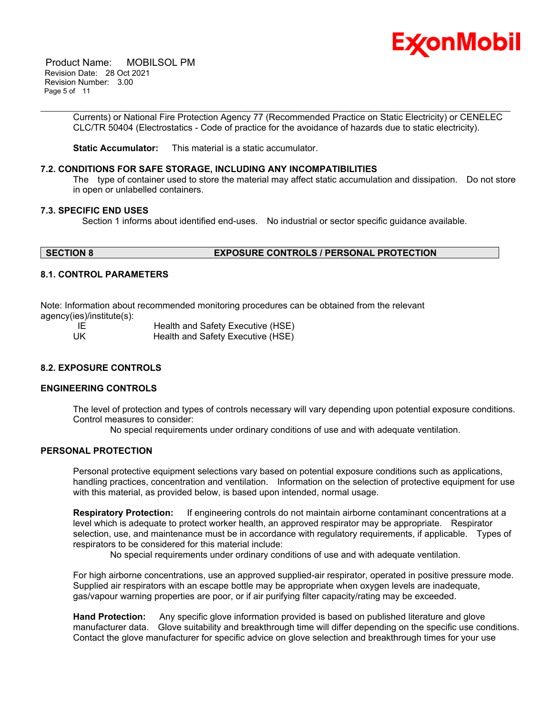

 Product Name: MOBILSOL PM Revision Date: 28 Oct 2021 Revision Number: 3.00 Page 5 of 11

> Currents) or National Fire Protection Agency 77 (Recommended Practice on Static Electricity) or CENELEC CLC/TR 50404 (Electrostatics - Code of practice for the avoidance of hazards due to static electricity).

\_\_\_\_\_\_\_\_\_\_\_\_\_\_\_\_\_\_\_\_\_\_\_\_\_\_\_\_\_\_\_\_\_\_\_\_\_\_\_\_\_\_\_\_\_\_\_\_\_\_\_\_\_\_\_\_\_\_\_\_\_\_\_\_\_\_\_\_\_\_\_\_\_\_\_\_\_\_\_\_\_\_\_\_\_\_\_\_\_\_\_\_\_\_\_\_\_\_\_\_\_\_\_\_\_\_\_\_\_\_\_\_\_\_\_\_\_

**Static Accumulator:** This material is a static accumulator.

### **7.2. CONDITIONS FOR SAFE STORAGE, INCLUDING ANY INCOMPATIBILITIES**

The type of container used to store the material may affect static accumulation and dissipation. Do not store in open or unlabelled containers.

#### **7.3. SPECIFIC END USES**

Section 1 informs about identified end-uses. No industrial or sector specific guidance available.

# **SECTION 8 EXPOSURE CONTROLS / PERSONAL PROTECTION**

#### **8.1. CONTROL PARAMETERS**

Note: Information about recommended monitoring procedures can be obtained from the relevant agency(ies)/institute(s):

IE Health and Safety Executive (HSE) UK Health and Safety Executive (HSE)

# **8.2. EXPOSURE CONTROLS**

# **ENGINEERING CONTROLS**

The level of protection and types of controls necessary will vary depending upon potential exposure conditions. Control measures to consider:

No special requirements under ordinary conditions of use and with adequate ventilation.

#### **PERSONAL PROTECTION**

Personal protective equipment selections vary based on potential exposure conditions such as applications, handling practices, concentration and ventilation. Information on the selection of protective equipment for use with this material, as provided below, is based upon intended, normal usage.

**Respiratory Protection:** If engineering controls do not maintain airborne contaminant concentrations at a level which is adequate to protect worker health, an approved respirator may be appropriate. Respirator selection, use, and maintenance must be in accordance with regulatory requirements, if applicable. Types of respirators to be considered for this material include:

No special requirements under ordinary conditions of use and with adequate ventilation.

For high airborne concentrations, use an approved supplied-air respirator, operated in positive pressure mode. Supplied air respirators with an escape bottle may be appropriate when oxygen levels are inadequate, gas/vapour warning properties are poor, or if air purifying filter capacity/rating may be exceeded.

**Hand Protection:** Any specific glove information provided is based on published literature and glove manufacturer data. Glove suitability and breakthrough time will differ depending on the specific use conditions. Contact the glove manufacturer for specific advice on glove selection and breakthrough times for your use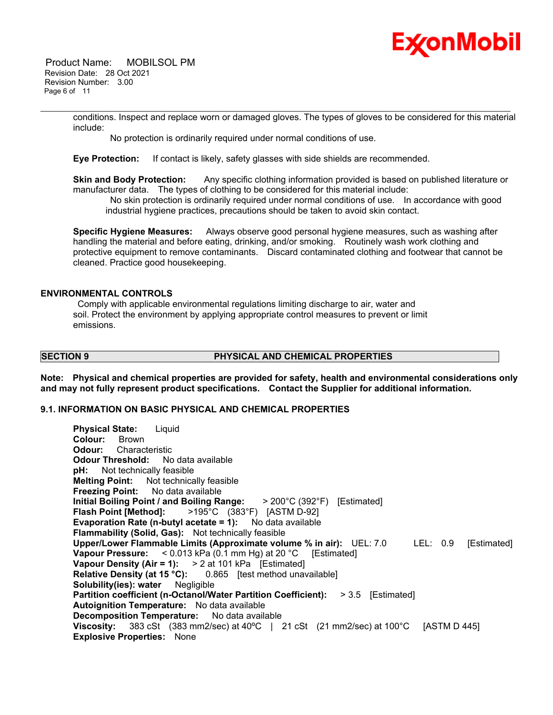

 Product Name: MOBILSOL PM Revision Date: 28 Oct 2021 Revision Number: 3.00 Page 6 of 11

> conditions. Inspect and replace worn or damaged gloves. The types of gloves to be considered for this material include:

\_\_\_\_\_\_\_\_\_\_\_\_\_\_\_\_\_\_\_\_\_\_\_\_\_\_\_\_\_\_\_\_\_\_\_\_\_\_\_\_\_\_\_\_\_\_\_\_\_\_\_\_\_\_\_\_\_\_\_\_\_\_\_\_\_\_\_\_\_\_\_\_\_\_\_\_\_\_\_\_\_\_\_\_\_\_\_\_\_\_\_\_\_\_\_\_\_\_\_\_\_\_\_\_\_\_\_\_\_\_\_\_\_\_\_\_\_

No protection is ordinarily required under normal conditions of use.

**Eye Protection:** If contact is likely, safety glasses with side shields are recommended.

**Skin and Body Protection:** Any specific clothing information provided is based on published literature or manufacturer data. The types of clothing to be considered for this material include:

No skin protection is ordinarily required under normal conditions of use. In accordance with good industrial hygiene practices, precautions should be taken to avoid skin contact.

**Specific Hygiene Measures:** Always observe good personal hygiene measures, such as washing after handling the material and before eating, drinking, and/or smoking. Routinely wash work clothing and protective equipment to remove contaminants. Discard contaminated clothing and footwear that cannot be cleaned. Practice good housekeeping.

#### **ENVIRONMENTAL CONTROLS**

Comply with applicable environmental regulations limiting discharge to air, water and soil. Protect the environment by applying appropriate control measures to prevent or limit emissions.

#### **SECTION 9 PHYSICAL AND CHEMICAL PROPERTIES**

**Note: Physical and chemical properties are provided for safety, health and environmental considerations only and may not fully represent product specifications. Contact the Supplier for additional information.**

# **9.1. INFORMATION ON BASIC PHYSICAL AND CHEMICAL PROPERTIES**

| <b>Physical State:</b> Liquid                                                              |
|--------------------------------------------------------------------------------------------|
| <b>Colour:</b> Brown                                                                       |
| <b>Odour:</b> Characteristic                                                               |
| <b>Odour Threshold:</b> No data available                                                  |
| <b>pH:</b> Not technically feasible                                                        |
| <b>Melting Point:</b> Not technically feasible                                             |
| <b>Freezing Point:</b> No data available                                                   |
| Initial Boiling Point / and Boiling Range: $>200^{\circ}$ C (392°F) [Estimated]            |
| <b>Flash Point [Method]:</b> >195°C (383°F) [ASTM D-92]                                    |
| <b>Evaporation Rate (n-butyl acetate = 1):</b> No data available                           |
| <b>Flammability (Solid, Gas):</b> Not technically feasible                                 |
| Upper/Lower Flammable Limits (Approximate volume % in air): UEL: 7.0 LEL: 0.9 [Estimated]  |
| <b>Vapour Pressure:</b> < $0.013$ kPa (0.1 mm Hg) at 20 °C [Estimated]                     |
| Vapour Density (Air = 1): $> 2$ at 101 kPa [Estimated]                                     |
| <b>Relative Density (at 15 °C):</b> 0.865 [test method unavailable]                        |
| <b>Solubility(ies): water</b> Negligible                                                   |
| <b>Partition coefficient (n-Octanol/Water Partition Coefficient): &gt; 3.5 [Estimated]</b> |
| <b>Autoignition Temperature:</b> No data available                                         |
| <b>Decomposition Temperature:</b> No data available                                        |
| Viscosity: 383 cSt (383 mm2/sec) at 40°C   21 cSt (21 mm2/sec) at 100°C [ASTM D 445]       |
| <b>Explosive Properties: None</b>                                                          |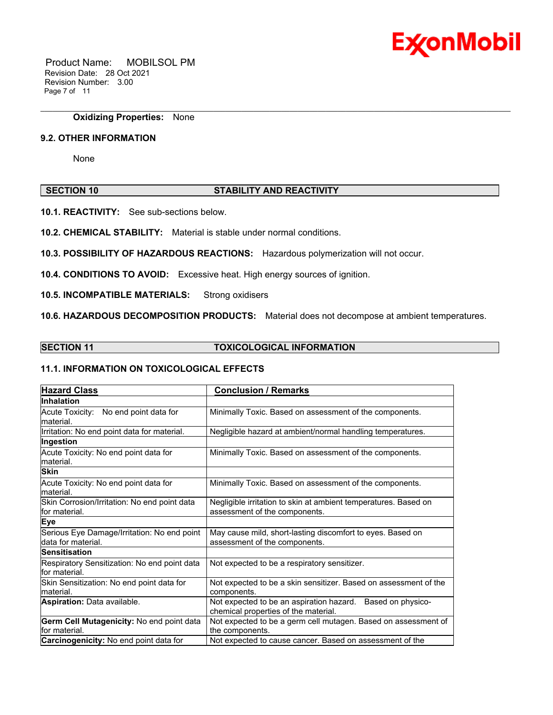

 Product Name: MOBILSOL PM Revision Date: 28 Oct 2021 Revision Number: 3.00 Page 7 of 11

**Oxidizing Properties:** None

#### **9.2. OTHER INFORMATION**

None

# **SECTION 10 STABILITY AND REACTIVITY**

\_\_\_\_\_\_\_\_\_\_\_\_\_\_\_\_\_\_\_\_\_\_\_\_\_\_\_\_\_\_\_\_\_\_\_\_\_\_\_\_\_\_\_\_\_\_\_\_\_\_\_\_\_\_\_\_\_\_\_\_\_\_\_\_\_\_\_\_\_\_\_\_\_\_\_\_\_\_\_\_\_\_\_\_\_\_\_\_\_\_\_\_\_\_\_\_\_\_\_\_\_\_\_\_\_\_\_\_\_\_\_\_\_\_\_\_\_

**10.1. REACTIVITY:** See sub-sections below.

**10.2. CHEMICAL STABILITY:** Material is stable under normal conditions.

**10.3. POSSIBILITY OF HAZARDOUS REACTIONS:** Hazardous polymerization will not occur.

**10.4. CONDITIONS TO AVOID:** Excessive heat. High energy sources of ignition.

**10.5. INCOMPATIBLE MATERIALS:** Strong oxidisers

**10.6. HAZARDOUS DECOMPOSITION PRODUCTS:** Material does not decompose at ambient temperatures.

# **SECTION 11 TOXICOLOGICAL INFORMATION**

# **11.1. INFORMATION ON TOXICOLOGICAL EFFECTS**

| <b>Hazard Class</b>                                               | <b>Conclusion / Remarks</b>                                                                           |  |  |
|-------------------------------------------------------------------|-------------------------------------------------------------------------------------------------------|--|--|
| <b>Inhalation</b>                                                 |                                                                                                       |  |  |
| Acute Toxicity: No end point data for<br>lmaterial.               | Minimally Toxic. Based on assessment of the components.                                               |  |  |
| Irritation: No end point data for material.                       | Negligible hazard at ambient/normal handling temperatures.                                            |  |  |
| Ingestion                                                         |                                                                                                       |  |  |
| Acute Toxicity: No end point data for<br>material.                | Minimally Toxic. Based on assessment of the components.                                               |  |  |
| <b>Skin</b>                                                       |                                                                                                       |  |  |
| Acute Toxicity: No end point data for<br>material.                | Minimally Toxic. Based on assessment of the components.                                               |  |  |
| Skin Corrosion/Irritation: No end point data<br>for material.     | Negligible irritation to skin at ambient temperatures. Based on<br>assessment of the components.      |  |  |
| <b>Eye</b>                                                        |                                                                                                       |  |  |
| Serious Eye Damage/Irritation: No end point<br>data for material. | May cause mild, short-lasting discomfort to eyes. Based on<br>assessment of the components.           |  |  |
| <b>Sensitisation</b>                                              |                                                                                                       |  |  |
| Respiratory Sensitization: No end point data<br>for material.     | Not expected to be a respiratory sensitizer.                                                          |  |  |
| Skin Sensitization: No end point data for                         | Not expected to be a skin sensitizer. Based on assessment of the                                      |  |  |
| lmaterial.                                                        | components.                                                                                           |  |  |
| <b>Aspiration: Data available.</b>                                | Not expected to be an aspiration hazard.<br>Based on physico-<br>chemical properties of the material. |  |  |
| Germ Cell Mutagenicity: No end point data                         | Not expected to be a germ cell mutagen. Based on assessment of                                        |  |  |
| for material.                                                     | the components.                                                                                       |  |  |
| <b>Carcinogenicity:</b> No end point data for                     | Not expected to cause cancer. Based on assessment of the                                              |  |  |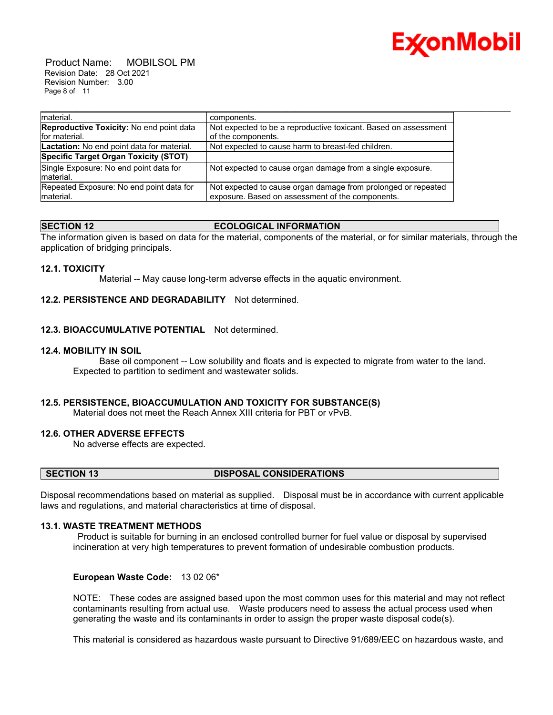

 Product Name: MOBILSOL PM Revision Date: 28 Oct 2021 Revision Number: 3.00 Page 8 of 11

| Imaterial.                                 | components.                                                     |
|--------------------------------------------|-----------------------------------------------------------------|
| Reproductive Toxicity: No end point data   | Not expected to be a reproductive toxicant. Based on assessment |
| for material.                              | of the components.                                              |
| Lactation: No end point data for material. | Not expected to cause harm to breast-fed children.              |
| Specific Target Organ Toxicity (STOT)      |                                                                 |
| Single Exposure: No end point data for     | Not expected to cause organ damage from a single exposure.      |
| Imaterial.                                 |                                                                 |
| Repeated Exposure: No end point data for   | Not expected to cause organ damage from prolonged or repeated   |
| material.                                  | exposure. Based on assessment of the components.                |

# **SECTION 12 ECOLOGICAL INFORMATION**

The information given is based on data for the material, components of the material, or for similar materials, through the application of bridging principals.

# **12.1. TOXICITY**

Material -- May cause long-term adverse effects in the aquatic environment.

# **12.2. PERSISTENCE AND DEGRADABILITY** Not determined.

# **12.3. BIOACCUMULATIVE POTENTIAL** Not determined.

#### **12.4. MOBILITY IN SOIL**

 Base oil component -- Low solubility and floats and is expected to migrate from water to the land. Expected to partition to sediment and wastewater solids.

# **12.5. PERSISTENCE, BIOACCUMULATION AND TOXICITY FOR SUBSTANCE(S)**

Material does not meet the Reach Annex XIII criteria for PBT or vPvB.

#### **12.6. OTHER ADVERSE EFFECTS**

No adverse effects are expected.

# **SECTION 13 DISPOSAL CONSIDERATIONS**

Disposal recommendations based on material as supplied. Disposal must be in accordance with current applicable laws and regulations, and material characteristics at time of disposal.

#### **13.1. WASTE TREATMENT METHODS**

Product is suitable for burning in an enclosed controlled burner for fuel value or disposal by supervised incineration at very high temperatures to prevent formation of undesirable combustion products.

#### **European Waste Code:** 13 02 06\*

NOTE: These codes are assigned based upon the most common uses for this material and may not reflect contaminants resulting from actual use. Waste producers need to assess the actual process used when generating the waste and its contaminants in order to assign the proper waste disposal code(s).

This material is considered as hazardous waste pursuant to Directive 91/689/EEC on hazardous waste, and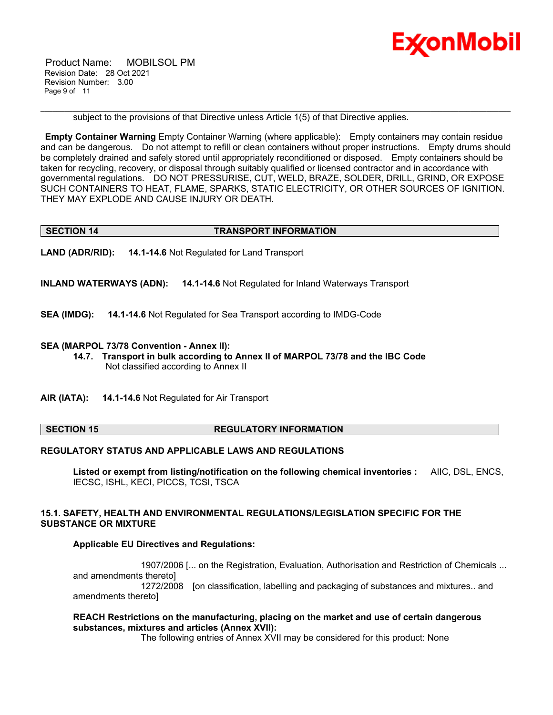

 Product Name: MOBILSOL PM Revision Date: 28 Oct 2021 Revision Number: 3.00 Page 9 of 11

subject to the provisions of that Directive unless Article 1(5) of that Directive applies.

**Empty Container Warning** Empty Container Warning (where applicable): Empty containers may contain residue and can be dangerous. Do not attempt to refill or clean containers without proper instructions. Empty drums should be completely drained and safely stored until appropriately reconditioned or disposed. Empty containers should be taken for recycling, recovery, or disposal through suitably qualified or licensed contractor and in accordance with governmental regulations. DO NOT PRESSURISE, CUT, WELD, BRAZE, SOLDER, DRILL, GRIND, OR EXPOSE SUCH CONTAINERS TO HEAT, FLAME, SPARKS, STATIC ELECTRICITY, OR OTHER SOURCES OF IGNITION. THEY MAY EXPLODE AND CAUSE INJURY OR DEATH.

\_\_\_\_\_\_\_\_\_\_\_\_\_\_\_\_\_\_\_\_\_\_\_\_\_\_\_\_\_\_\_\_\_\_\_\_\_\_\_\_\_\_\_\_\_\_\_\_\_\_\_\_\_\_\_\_\_\_\_\_\_\_\_\_\_\_\_\_\_\_\_\_\_\_\_\_\_\_\_\_\_\_\_\_\_\_\_\_\_\_\_\_\_\_\_\_\_\_\_\_\_\_\_\_\_\_\_\_\_\_\_\_\_\_\_\_\_

#### **SECTION 14 TRANSPORT INFORMATION**

**LAND (ADR/RID): 14.1-14.6** Not Regulated for Land Transport

**INLAND WATERWAYS (ADN): 14.1-14.6** Not Regulated for Inland Waterways Transport

**SEA (IMDG): 14.1-14.6** Not Regulated for Sea Transport according to IMDG-Code

#### **SEA (MARPOL 73/78 Convention - Annex II):**

- **14.7. Transport in bulk according to Annex II of MARPOL 73/78 and the IBC Code** Not classified according to Annex II
- **AIR (IATA): 14.1-14.6** Not Regulated for Air Transport

#### **SECTION 15 REGULATORY INFORMATION**

#### **REGULATORY STATUS AND APPLICABLE LAWS AND REGULATIONS**

**Listed or exempt from listing/notification on the following chemical inventories :** AIIC, DSL, ENCS, IECSC, ISHL, KECI, PICCS, TCSI, TSCA

# **15.1. SAFETY, HEALTH AND ENVIRONMENTAL REGULATIONS/LEGISLATION SPECIFIC FOR THE SUBSTANCE OR MIXTURE**

#### **Applicable EU Directives and Regulations:**

 1907/2006 [... on the Registration, Evaluation, Authorisation and Restriction of Chemicals ... and amendments thereto] 1272/2008 [on classification, labelling and packaging of substances and mixtures.. and amendments thereto]

#### **REACH Restrictions on the manufacturing, placing on the market and use of certain dangerous substances, mixtures and articles (Annex XVII):**

The following entries of Annex XVII may be considered for this product: None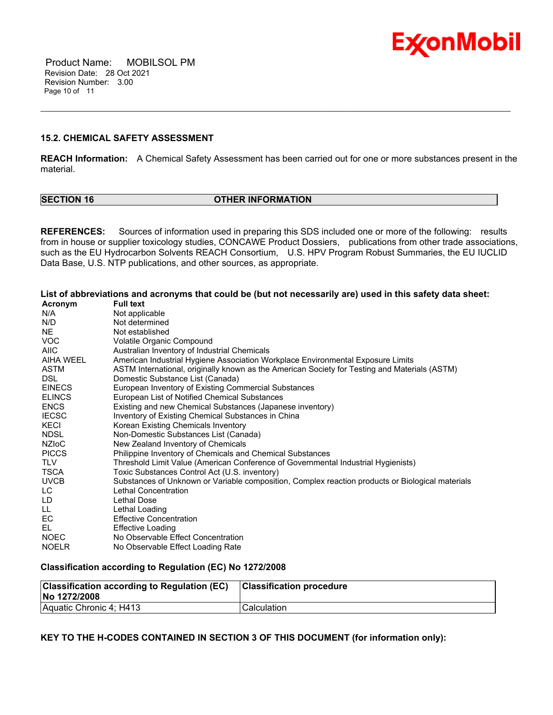

 Product Name: MOBILSOL PM Revision Date: 28 Oct 2021 Revision Number: 3.00 Page 10 of 11

### **15.2. CHEMICAL SAFETY ASSESSMENT**

**REACH Information:** A Chemical Safety Assessment has been carried out for one or more substances present in the material.

\_\_\_\_\_\_\_\_\_\_\_\_\_\_\_\_\_\_\_\_\_\_\_\_\_\_\_\_\_\_\_\_\_\_\_\_\_\_\_\_\_\_\_\_\_\_\_\_\_\_\_\_\_\_\_\_\_\_\_\_\_\_\_\_\_\_\_\_\_\_\_\_\_\_\_\_\_\_\_\_\_\_\_\_\_\_\_\_\_\_\_\_\_\_\_\_\_\_\_\_\_\_\_\_\_\_\_\_\_\_\_\_\_\_\_\_\_

| <b>ISECTION 16</b> |  |
|--------------------|--|
|--------------------|--|

#### **SECTION 16 OTHER INFORMATION**

**REFERENCES:** Sources of information used in preparing this SDS included one or more of the following: results from in house or supplier toxicology studies, CONCAWE Product Dossiers, publications from other trade associations, such as the EU Hydrocarbon Solvents REACH Consortium, U.S. HPV Program Robust Summaries, the EU IUCLID Data Base, U.S. NTP publications, and other sources, as appropriate.

List of abbreviations and acronyms that could be (but not necessarily are) used in this safety data sheet:

| Acronym       | <b>Full text</b>                                                                                 |
|---------------|--------------------------------------------------------------------------------------------------|
| N/A           | Not applicable                                                                                   |
| N/D           | Not determined                                                                                   |
| NE.           | Not established                                                                                  |
| <b>VOC</b>    | Volatile Organic Compound                                                                        |
| <b>AIIC</b>   | Australian Inventory of Industrial Chemicals                                                     |
| AIHA WEEL     | American Industrial Hygiene Association Workplace Environmental Exposure Limits                  |
| ASTM          | ASTM International, originally known as the American Society for Testing and Materials (ASTM)    |
| DSL.          | Domestic Substance List (Canada)                                                                 |
| <b>EINECS</b> | European Inventory of Existing Commercial Substances                                             |
| <b>ELINCS</b> | European List of Notified Chemical Substances                                                    |
| <b>ENCS</b>   | Existing and new Chemical Substances (Japanese inventory)                                        |
| <b>IECSC</b>  | Inventory of Existing Chemical Substances in China                                               |
| KECI          | Korean Existing Chemicals Inventory                                                              |
| <b>NDSL</b>   | Non-Domestic Substances List (Canada)                                                            |
| <b>NZIOC</b>  | New Zealand Inventory of Chemicals                                                               |
| <b>PICCS</b>  | Philippine Inventory of Chemicals and Chemical Substances                                        |
| <b>TLV</b>    | Threshold Limit Value (American Conference of Governmental Industrial Hygienists)                |
| TSCA          | Toxic Substances Control Act (U.S. inventory)                                                    |
| <b>UVCB</b>   | Substances of Unknown or Variable composition, Complex reaction products or Biological materials |
| LC.           | Lethal Concentration                                                                             |
| LD            | Lethal Dose                                                                                      |
| LL.           | Lethal Loading                                                                                   |
| EC            | <b>Effective Concentration</b>                                                                   |
| EL.           | <b>Effective Loading</b>                                                                         |
| <b>NOEC</b>   | No Observable Effect Concentration                                                               |
| <b>NOELR</b>  | No Observable Effect Loading Rate                                                                |

# **Classification according to Regulation (EC) No 1272/2008**

| <b>Classification according to Regulation (EC)</b><br>No 1272/2008 | <b>Classification procedure</b> |
|--------------------------------------------------------------------|---------------------------------|
| Aquatic Chronic 4; H413                                            | 'Calculation                    |

# **KEY TO THE H-CODES CONTAINED IN SECTION 3 OF THIS DOCUMENT (for information only):**